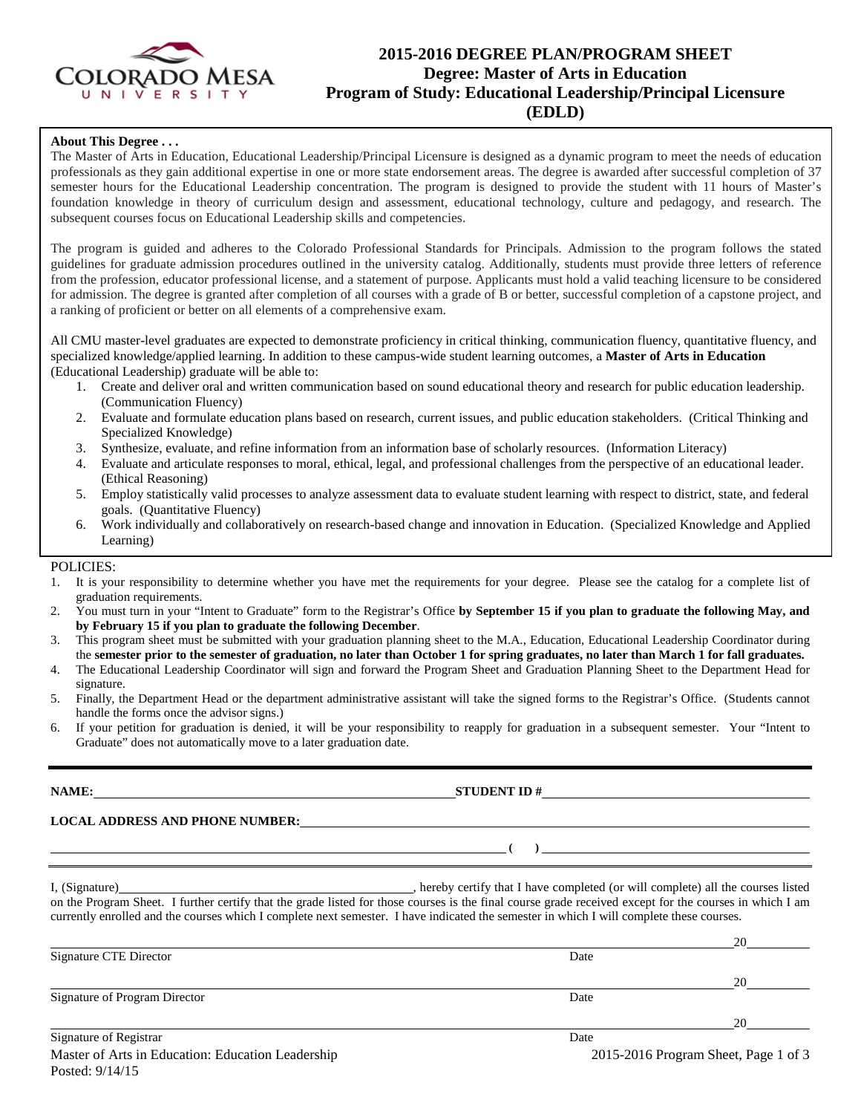

# **2015-2016 DEGREE PLAN/PROGRAM SHEET Degree: Master of Arts in Education Program of Study: Educational Leadership/Principal Licensure (EDLD)**

## **About This Degree . . .**

The Master of Arts in Education, Educational Leadership/Principal Licensure is designed as a dynamic program to meet the needs of education professionals as they gain additional expertise in one or more state endorsement areas. The degree is awarded after successful completion of 37 semester hours for the Educational Leadership concentration. The program is designed to provide the student with 11 hours of Master's foundation knowledge in theory of curriculum design and assessment, educational technology, culture and pedagogy, and research. The subsequent courses focus on Educational Leadership skills and competencies.

The program is guided and adheres to the Colorado Professional Standards for Principals. Admission to the program follows the stated guidelines for graduate admission procedures outlined in the university catalog. Additionally, students must provide three letters of reference from the profession, educator professional license, and a statement of purpose. Applicants must hold a valid teaching licensure to be considered for admission. The degree is granted after completion of all courses with a grade of B or better, successful completion of a capstone project, and a ranking of proficient or better on all elements of a comprehensive exam.

All CMU master-level graduates are expected to demonstrate proficiency in critical thinking, communication fluency, quantitative fluency, and specialized knowledge/applied learning. In addition to these campus-wide student learning outcomes, a **Master of Arts in Education** (Educational Leadership) graduate will be able to:

- 1. Create and deliver oral and written communication based on sound educational theory and research for public education leadership. (Communication Fluency)
- 2. Evaluate and formulate education plans based on research, current issues, and public education stakeholders. (Critical Thinking and Specialized Knowledge)
- 3. Synthesize, evaluate, and refine information from an information base of scholarly resources. (Information Literacy)
- 4. Evaluate and articulate responses to moral, ethical, legal, and professional challenges from the perspective of an educational leader. (Ethical Reasoning)
- 5. Employ statistically valid processes to analyze assessment data to evaluate student learning with respect to district, state, and federal goals. (Quantitative Fluency)
- 6. Work individually and collaboratively on research-based change and innovation in Education. (Specialized Knowledge and Applied Learning)

### POLICIES:

- 1. It is your responsibility to determine whether you have met the requirements for your degree. Please see the catalog for a complete list of graduation requirements.
- 2. You must turn in your "Intent to Graduate" form to the Registrar's Office **by September 15 if you plan to graduate the following May, and by February 15 if you plan to graduate the following December**.
- 3. This program sheet must be submitted with your graduation planning sheet to the M.A., Education, Educational Leadership Coordinator during the **semester prior to the semester of graduation, no later than October 1 for spring graduates, no later than March 1 for fall graduates.**
- 4. The Educational Leadership Coordinator will sign and forward the Program Sheet and Graduation Planning Sheet to the Department Head for signature.
- 5. Finally, the Department Head or the department administrative assistant will take the signed forms to the Registrar's Office. (Students cannot handle the forms once the advisor signs.)
- 6. If your petition for graduation is denied, it will be your responsibility to reapply for graduation in a subsequent semester. Your "Intent to Graduate" does not automatically move to a later graduation date.

**LOCAL ADDRESS AND PHONE NUMBER:**

I, (Signature) , hereby certify that I have completed (or will complete) all the courses listed on the Program Sheet. I further certify that the grade listed for those courses is the final course grade received except for the courses in which I am currently enrolled and the courses which I complete next semester. I have indicated the semester in which I will complete these courses.

|                               |                         | 2C       |
|-------------------------------|-------------------------|----------|
| Signature CTE Director        | Date                    |          |
|                               |                         | 20       |
| Signature of Program Director | Date                    |          |
|                               |                         | $\gamma$ |
| $C_{\text{onotrons of D}}$    | $D_{\alpha\beta\alpha}$ |          |

**NAME: STUDENT ID #**

**( )**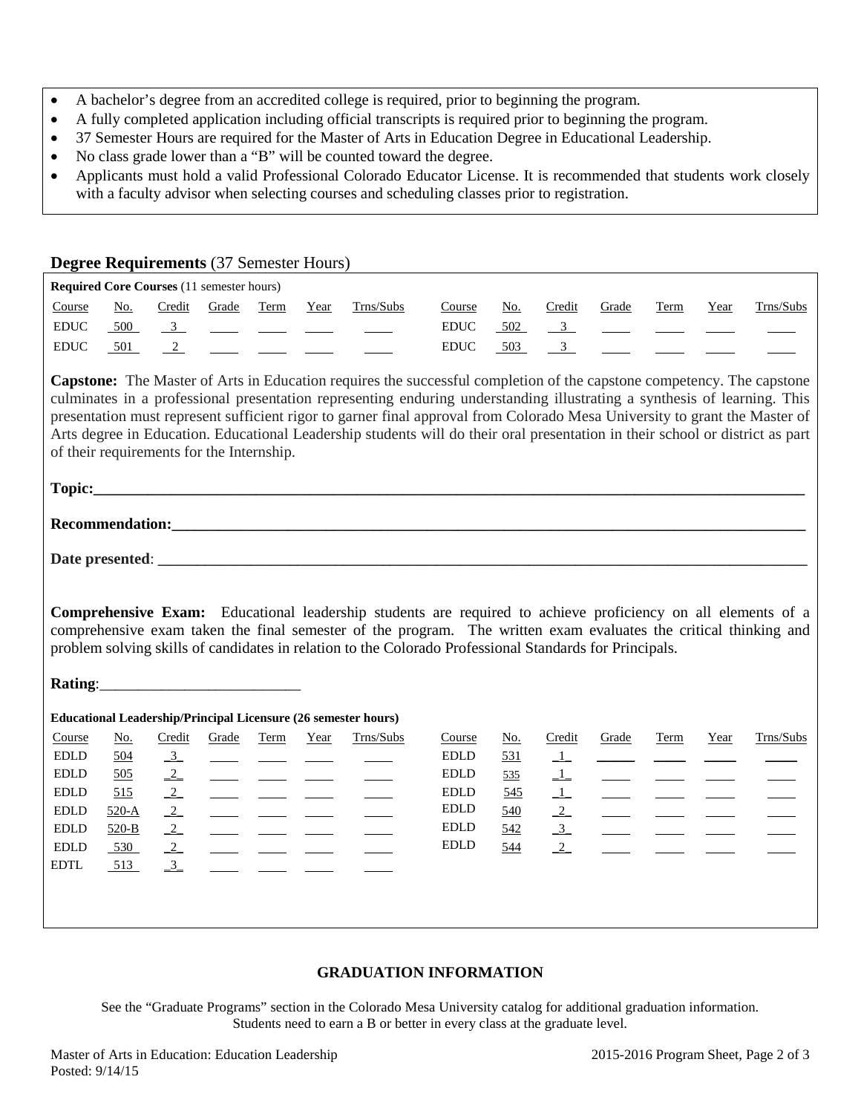- A bachelor's degree from an accredited college is required, prior to beginning the program.
- A fully completed application including official transcripts is required prior to beginning the program.
- 37 Semester Hours are required for the Master of Arts in Education Degree in Educational Leadership.
- No class grade lower than a "B" will be counted toward the degree.
- Applicants must hold a valid Professional Colorado Educator License. It is recommended that students work closely with a faculty advisor when selecting courses and scheduling classes prior to registration.

|                              |                                    |                                                  |            |                                                                                                                                                                                                                                                                                                                                                                                                                                                                            | Degree Requirements (37 Semester Hours) |                                                                                                                                                                                                                                                                                                                                                                                                                                                                                                                         |                                                                                                         |                                    |                   |                                  |      |      |           |
|------------------------------|------------------------------------|--------------------------------------------------|------------|----------------------------------------------------------------------------------------------------------------------------------------------------------------------------------------------------------------------------------------------------------------------------------------------------------------------------------------------------------------------------------------------------------------------------------------------------------------------------|-----------------------------------------|-------------------------------------------------------------------------------------------------------------------------------------------------------------------------------------------------------------------------------------------------------------------------------------------------------------------------------------------------------------------------------------------------------------------------------------------------------------------------------------------------------------------------|---------------------------------------------------------------------------------------------------------|------------------------------------|-------------------|----------------------------------|------|------|-----------|
|                              |                                    | <b>Required Core Courses (11 semester hours)</b> |            |                                                                                                                                                                                                                                                                                                                                                                                                                                                                            |                                         |                                                                                                                                                                                                                                                                                                                                                                                                                                                                                                                         |                                                                                                         |                                    |                   |                                  |      |      |           |
| Course                       | <u>No.</u>                         | Credit                                           | Grade Term |                                                                                                                                                                                                                                                                                                                                                                                                                                                                            | Year                                    | Trns/Subs                                                                                                                                                                                                                                                                                                                                                                                                                                                                                                               | Course                                                                                                  | <u>No.</u>                         | Credit            | Grade                            | Term | Year | Trns/Subs |
| $\mathop{\rm EDUC}\nolimits$ | 500                                | $\frac{3}{2}$                                    |            |                                                                                                                                                                                                                                                                                                                                                                                                                                                                            |                                         |                                                                                                                                                                                                                                                                                                                                                                                                                                                                                                                         | <b>EDUC</b>                                                                                             | 502                                | $\frac{3}{2}$     |                                  |      |      |           |
| $\mathop{\rm EDUC}\nolimits$ | 501                                | $\frac{2}{2}$                                    |            | $\frac{1}{\sqrt{2\pi}}\int_{0}^{\pi}\frac{1}{\sqrt{2\pi}}\left(1-\frac{1}{\sqrt{2\pi}}\right)dx$                                                                                                                                                                                                                                                                                                                                                                           |                                         |                                                                                                                                                                                                                                                                                                                                                                                                                                                                                                                         | $\mathop{\rm EDUC}\nolimits$                                                                            | 503                                | $\frac{3}{2}$     |                                  |      |      |           |
|                              |                                    | of their requirements for the Internship.        |            |                                                                                                                                                                                                                                                                                                                                                                                                                                                                            |                                         | <b>Capstone:</b> The Master of Arts in Education requires the successful completion of the capstone competency. The capstone<br>culminates in a professional presentation representing enduring understanding illustrating a synthesis of learning. This<br>presentation must represent sufficient rigor to garner final approval from Colorado Mesa University to grant the Master of<br>Arts degree in Education. Educational Leadership students will do their oral presentation in their school or district as part |                                                                                                         |                                    |                   |                                  |      |      |           |
|                              |                                    |                                                  |            |                                                                                                                                                                                                                                                                                                                                                                                                                                                                            |                                         |                                                                                                                                                                                                                                                                                                                                                                                                                                                                                                                         |                                                                                                         |                                    |                   |                                  |      |      |           |
|                              |                                    |                                                  |            |                                                                                                                                                                                                                                                                                                                                                                                                                                                                            |                                         | Recommendation: New York Changes and Changes and Changes and Changes and Changes and Changes and Changes and Changes and Changes and Changes and Changes and Changes and Changes and Changes and Changes and Changes and Chang                                                                                                                                                                                                                                                                                          |                                                                                                         |                                    |                   |                                  |      |      |           |
|                              |                                    |                                                  |            |                                                                                                                                                                                                                                                                                                                                                                                                                                                                            |                                         |                                                                                                                                                                                                                                                                                                                                                                                                                                                                                                                         |                                                                                                         |                                    |                   |                                  |      |      |           |
|                              |                                    |                                                  |            |                                                                                                                                                                                                                                                                                                                                                                                                                                                                            |                                         | <b>Comprehensive Exam:</b> Educational leadership students are required to achieve proficiency on all elements of a<br>comprehensive exam taken the final semester of the program. The written exam evaluates the critical thinking and                                                                                                                                                                                                                                                                                 |                                                                                                         |                                    |                   |                                  |      |      |           |
|                              |                                    |                                                  |            |                                                                                                                                                                                                                                                                                                                                                                                                                                                                            |                                         |                                                                                                                                                                                                                                                                                                                                                                                                                                                                                                                         | problem solving skills of candidates in relation to the Colorado Professional Standards for Principals. |                                    |                   |                                  |      |      |           |
|                              |                                    |                                                  |            |                                                                                                                                                                                                                                                                                                                                                                                                                                                                            |                                         |                                                                                                                                                                                                                                                                                                                                                                                                                                                                                                                         |                                                                                                         |                                    |                   |                                  |      |      |           |
| Course                       |                                    |                                                  | Grade      | Term                                                                                                                                                                                                                                                                                                                                                                                                                                                                       | Year                                    | <b>Educational Leadership/Principal Licensure (26 semester hours)</b><br>Trns/Subs                                                                                                                                                                                                                                                                                                                                                                                                                                      | Course                                                                                                  |                                    |                   | Grade                            | Term | Year | Trns/Subs |
| <b>EDLD</b>                  | $\underline{\mathrm{No}}$ .<br>504 | Credit<br>$\frac{3}{2}$                          |            |                                                                                                                                                                                                                                                                                                                                                                                                                                                                            |                                         |                                                                                                                                                                                                                                                                                                                                                                                                                                                                                                                         | <b>EDLD</b>                                                                                             | $\underline{\mathrm{No}}$ .<br>531 | Credit<br>$\perp$ |                                  |      |      |           |
| <b>EDLD</b>                  | 505                                | $\frac{2}{\sqrt{2}}$                             |            | $\frac{1}{1} \left( \frac{1}{1} \right) \left( \frac{1}{1} \right) \left( \frac{1}{1} \right) \left( \frac{1}{1} \right) \left( \frac{1}{1} \right) \left( \frac{1}{1} \right) \left( \frac{1}{1} \right) \left( \frac{1}{1} \right) \left( \frac{1}{1} \right) \left( \frac{1}{1} \right) \left( \frac{1}{1} \right) \left( \frac{1}{1} \right) \left( \frac{1}{1} \right) \left( \frac{1}{1} \right) \left( \frac{1}{1} \right) \left( \frac{1}{1} \right) \left( \frac$ |                                         |                                                                                                                                                                                                                                                                                                                                                                                                                                                                                                                         | <b>EDLD</b>                                                                                             | 535                                | $\perp$           | $\frac{1}{2}$                    |      |      |           |
| $\operatorname{EDLD}$        | 515                                | $\frac{2}{\sqrt{2}}$                             |            |                                                                                                                                                                                                                                                                                                                                                                                                                                                                            |                                         |                                                                                                                                                                                                                                                                                                                                                                                                                                                                                                                         | <b>EDLD</b>                                                                                             | 545                                | $\perp$           |                                  |      |      |           |
| $\operatorname{EDLD}$        | $520-A$                            | $\frac{2}{\sqrt{2}}$                             |            | $\frac{1}{\sqrt{1-\frac{1}{2}}}\left(\frac{1}{\sqrt{1-\frac{1}{2}}}\right)$                                                                                                                                                                                                                                                                                                                                                                                                |                                         |                                                                                                                                                                                                                                                                                                                                                                                                                                                                                                                         | <b>EDLD</b>                                                                                             | 540                                | $\frac{2}{2}$     | $\frac{1}{\sqrt{1-\frac{1}{2}}}$ |      |      |           |
| $\operatorname{EDLD}$        | 520-B                              | $\frac{2}{\sqrt{2}}$                             |            |                                                                                                                                                                                                                                                                                                                                                                                                                                                                            |                                         |                                                                                                                                                                                                                                                                                                                                                                                                                                                                                                                         | <b>EDLD</b>                                                                                             | 542                                | $\frac{3}{2}$     | $\frac{1}{2}$                    |      |      |           |
| <b>EDLD</b>                  | 530                                | $\frac{2}{2}$                                    |            |                                                                                                                                                                                                                                                                                                                                                                                                                                                                            |                                         |                                                                                                                                                                                                                                                                                                                                                                                                                                                                                                                         | <b>EDLD</b>                                                                                             | 544                                | 2                 |                                  |      |      |           |
| <b>EDTL</b>                  | 513                                | $\frac{3}{2}$                                    |            | $\frac{1}{2} \left( \frac{1}{2} \right) = \frac{1}{2} \left( \frac{1}{2} \right) = \frac{1}{2} \left( \frac{1}{2} \right) = \frac{1}{2} \left( \frac{1}{2} \right) = \frac{1}{2} \left( \frac{1}{2} \right) = \frac{1}{2} \left( \frac{1}{2} \right) = \frac{1}{2} \left( \frac{1}{2} \right) = \frac{1}{2} \left( \frac{1}{2} \right) = \frac{1}{2} \left( \frac{1}{2} \right) = \frac{1}{2} \left( \frac{1}{2} \right) = \frac{1}{2} \left($                             |                                         |                                                                                                                                                                                                                                                                                                                                                                                                                                                                                                                         |                                                                                                         |                                    |                   |                                  |      |      |           |
|                              |                                    |                                                  |            |                                                                                                                                                                                                                                                                                                                                                                                                                                                                            |                                         |                                                                                                                                                                                                                                                                                                                                                                                                                                                                                                                         |                                                                                                         |                                    |                   |                                  |      |      |           |
|                              |                                    |                                                  |            |                                                                                                                                                                                                                                                                                                                                                                                                                                                                            |                                         |                                                                                                                                                                                                                                                                                                                                                                                                                                                                                                                         |                                                                                                         |                                    |                   |                                  |      |      |           |

# **GRADUATION INFORMATION**

See the "Graduate Programs" section in the Colorado Mesa University catalog for additional graduation information. Students need to earn a B or better in every class at the graduate level.